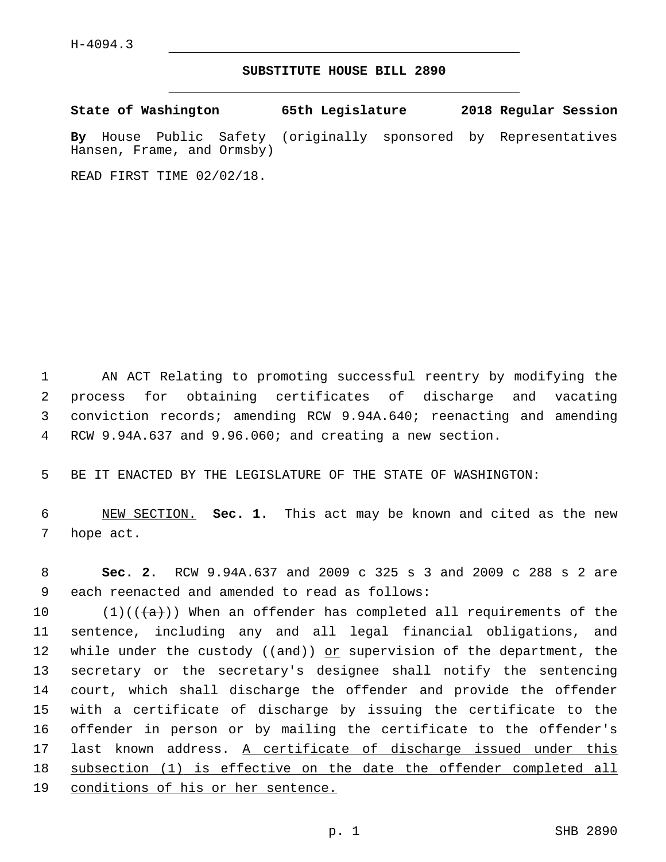## **SUBSTITUTE HOUSE BILL 2890**

**State of Washington 65th Legislature 2018 Regular Session By** House Public Safety (originally sponsored by Representatives Hansen, Frame, and Ormsby)

READ FIRST TIME 02/02/18.

 AN ACT Relating to promoting successful reentry by modifying the process for obtaining certificates of discharge and vacating conviction records; amending RCW 9.94A.640; reenacting and amending RCW 9.94A.637 and 9.96.060; and creating a new section.

BE IT ENACTED BY THE LEGISLATURE OF THE STATE OF WASHINGTON:

 NEW SECTION. **Sec. 1.** This act may be known and cited as the new hope act.

 **Sec. 2.** RCW 9.94A.637 and 2009 c 325 s 3 and 2009 c 288 s 2 are 9 each reenacted and amended to read as follows:

 $(1)((\{a\}))$  When an offender has completed all requirements of the sentence, including any and all legal financial obligations, and 12 while under the custody ((and)) or supervision of the department, the secretary or the secretary's designee shall notify the sentencing court, which shall discharge the offender and provide the offender with a certificate of discharge by issuing the certificate to the offender in person or by mailing the certificate to the offender's last known address. A certificate of discharge issued under this subsection (1) is effective on the date the offender completed all conditions of his or her sentence.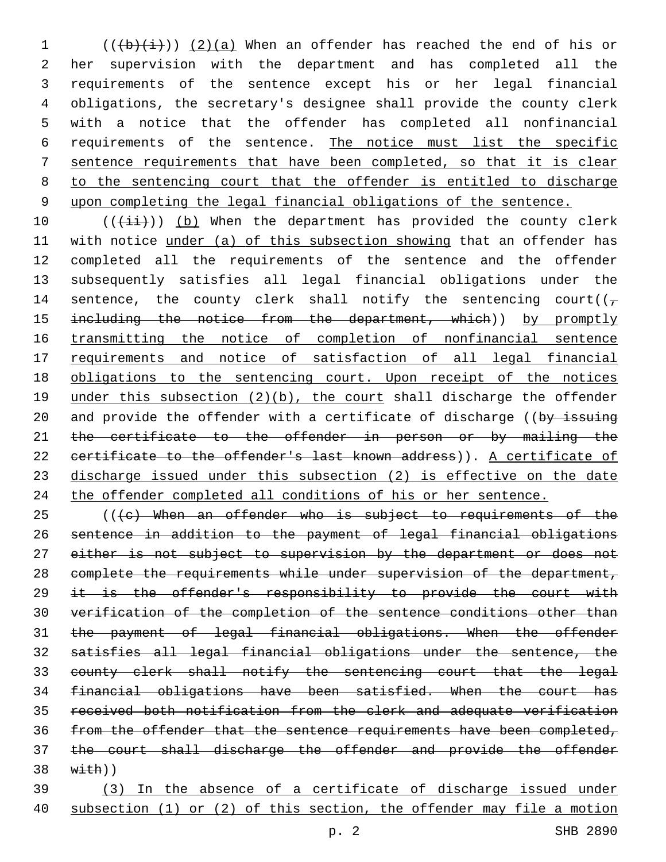$((\frac{1}{b}(\frac{1}{i}))$  (2)(a) When an offender has reached the end of his or her supervision with the department and has completed all the requirements of the sentence except his or her legal financial obligations, the secretary's designee shall provide the county clerk with a notice that the offender has completed all nonfinancial requirements of the sentence. The notice must list the specific sentence requirements that have been completed, so that it is clear to the sentencing court that the offender is entitled to discharge upon completing the legal financial obligations of the sentence.

 $((\overrightarrow{\pm}i))$  (b) When the department has provided the county clerk with notice under (a) of this subsection showing that an offender has completed all the requirements of the sentence and the offender subsequently satisfies all legal financial obligations under the 14 sentence, the county clerk shall notify the sentencing court( $(\tau)$ 15 including the notice from the department, which)) by promptly 16 transmitting the notice of completion of nonfinancial sentence requirements and notice of satisfaction of all legal financial obligations to the sentencing court. Upon receipt of the notices 19 under this subsection (2)(b), the court shall discharge the offender 20 and provide the offender with a certificate of discharge ((by issuing 21 the certificate to the offender in person or by mailing the 22 certificate to the offender's last known address)). A certificate of discharge issued under this subsection (2) is effective on the date the offender completed all conditions of his or her sentence.

 (( $\left(e\right)$  When an offender who is subject to requirements of the sentence in addition to the payment of legal financial obligations 27 either is not subject to supervision by the department or does not complete the requirements while under supervision of the department, 29 it is the offender's responsibility to provide the court with verification of the completion of the sentence conditions other than the payment of legal financial obligations. When the offender satisfies all legal financial obligations under the sentence, the county clerk shall notify the sentencing court that the legal financial obligations have been satisfied. When the court has received both notification from the clerk and adequate verification from the offender that the sentence requirements have been completed, the court shall discharge the offender and provide the offender  $38 \quad \text{with}$ )

 (3) In the absence of a certificate of discharge issued under subsection (1) or (2) of this section, the offender may file a motion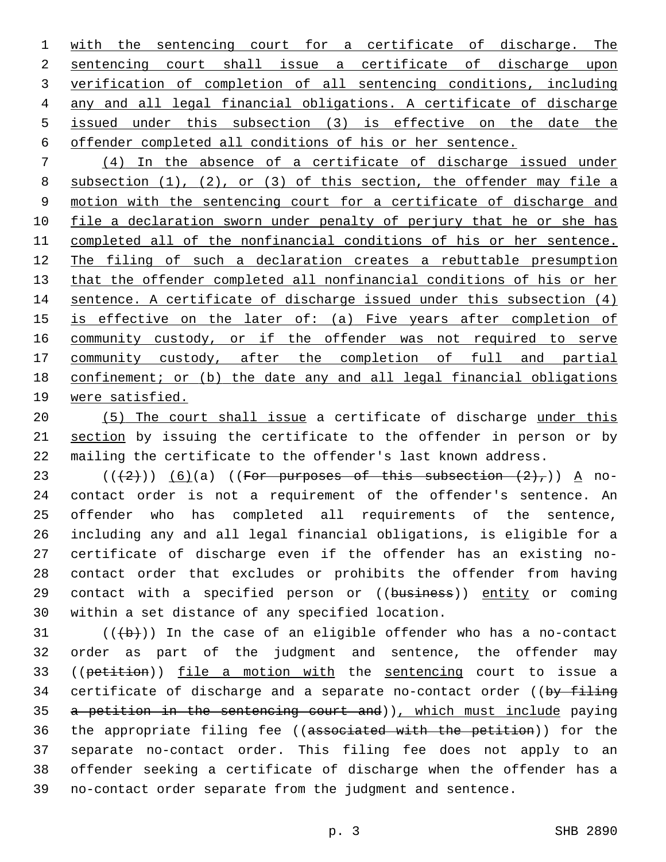1 with the sentencing court for a certificate of discharge. The sentencing court shall issue a certificate of discharge upon verification of completion of all sentencing conditions, including any and all legal financial obligations. A certificate of discharge issued under this subsection (3) is effective on the date the offender completed all conditions of his or her sentence.

 (4) In the absence of a certificate of discharge issued under subsection (1), (2), or (3) of this section, the offender may file a motion with the sentencing court for a certificate of discharge and 10 file a declaration sworn under penalty of perjury that he or she has completed all of the nonfinancial conditions of his or her sentence. The filing of such a declaration creates a rebuttable presumption that the offender completed all nonfinancial conditions of his or her sentence. A certificate of discharge issued under this subsection (4) is effective on the later of: (a) Five years after completion of 16 community custody, or if the offender was not required to serve 17 community custody, after the completion of full and partial confinement; or (b) the date any and all legal financial obligations were satisfied.

 (5) The court shall issue a certificate of discharge under this 21 section by issuing the certificate to the offender in person or by mailing the certificate to the offender's last known address.

 $((+2)^{n})$  (6)(a) ((For purposes of this subsection  $(2)^{n}$ )) A no- contact order is not a requirement of the offender's sentence. An offender who has completed all requirements of the sentence, including any and all legal financial obligations, is eligible for a certificate of discharge even if the offender has an existing no- contact order that excludes or prohibits the offender from having 29 contact with a specified person or ((business)) entity or coming 30 within a set distance of any specified location.

 (( $\left(\frac{b}{b}\right)$ ) In the case of an eligible offender who has a no-contact order as part of the judgment and sentence, the offender may 33 ((petition)) file a motion with the sentencing court to issue a 34 certificate of discharge and a separate no-contact order ((by filing a petition in the sentencing court and)), which must include paying 36 the appropriate filing fee ((associated with the petition)) for the separate no-contact order. This filing fee does not apply to an offender seeking a certificate of discharge when the offender has a no-contact order separate from the judgment and sentence.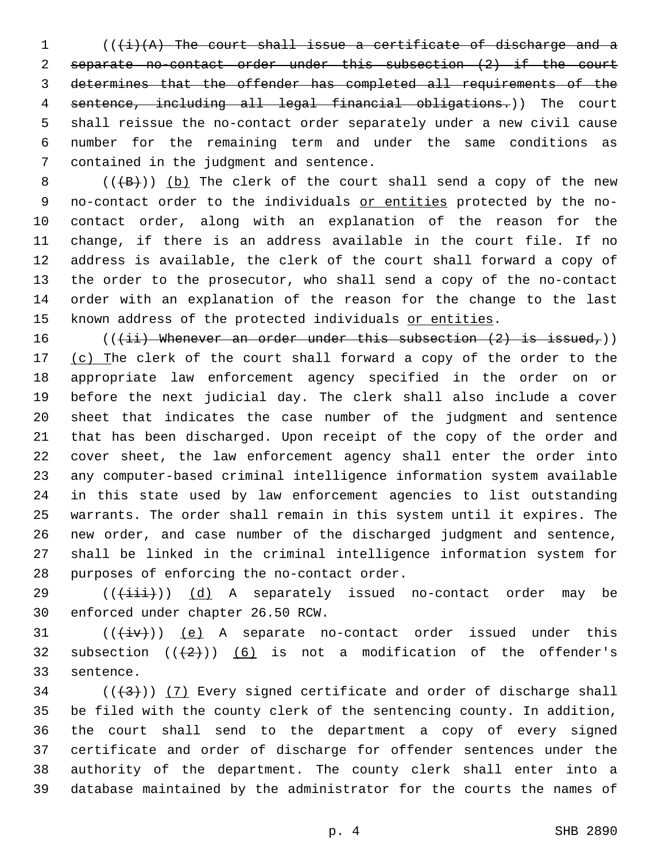$((\dagger i)(A)$  The court shall issue a certificate of discharge and a separate no-contact order under this subsection (2) if the court determines that the offender has completed all requirements of the sentence, including all legal financial obligations.)) The court shall reissue the no-contact order separately under a new civil cause number for the remaining term and under the same conditions as 7 contained in the judgment and sentence.

 $((+B))$  (b) The clerk of the court shall send a copy of the new 9 no-contact order to the individuals or entities protected by the no- contact order, along with an explanation of the reason for the change, if there is an address available in the court file. If no address is available, the clerk of the court shall forward a copy of the order to the prosecutor, who shall send a copy of the no-contact order with an explanation of the reason for the change to the last 15 known address of the protected individuals or entities.

 $((\{\pm i\})$  Whenever an order under this subsection  $(2)$  is issued,)) 17 (c) The clerk of the court shall forward a copy of the order to the appropriate law enforcement agency specified in the order on or before the next judicial day. The clerk shall also include a cover sheet that indicates the case number of the judgment and sentence that has been discharged. Upon receipt of the copy of the order and cover sheet, the law enforcement agency shall enter the order into any computer-based criminal intelligence information system available in this state used by law enforcement agencies to list outstanding warrants. The order shall remain in this system until it expires. The new order, and case number of the discharged judgment and sentence, shall be linked in the criminal intelligence information system for 28 purposes of enforcing the no-contact order.

29 (( $(i+1i)$ ) (d) A separately issued no-contact order may be 30 enforced under chapter 26.50 RCW.

 $((\overline{+iv}))(e)$  A separate no-contact order issued under this 32 subsection  $((+2)^{n})$  (6) is not a modification of the offender's 33 sentence.

 ( $(\frac{43}{})$ ) (7) Every signed certificate and order of discharge shall be filed with the county clerk of the sentencing county. In addition, the court shall send to the department a copy of every signed certificate and order of discharge for offender sentences under the authority of the department. The county clerk shall enter into a database maintained by the administrator for the courts the names of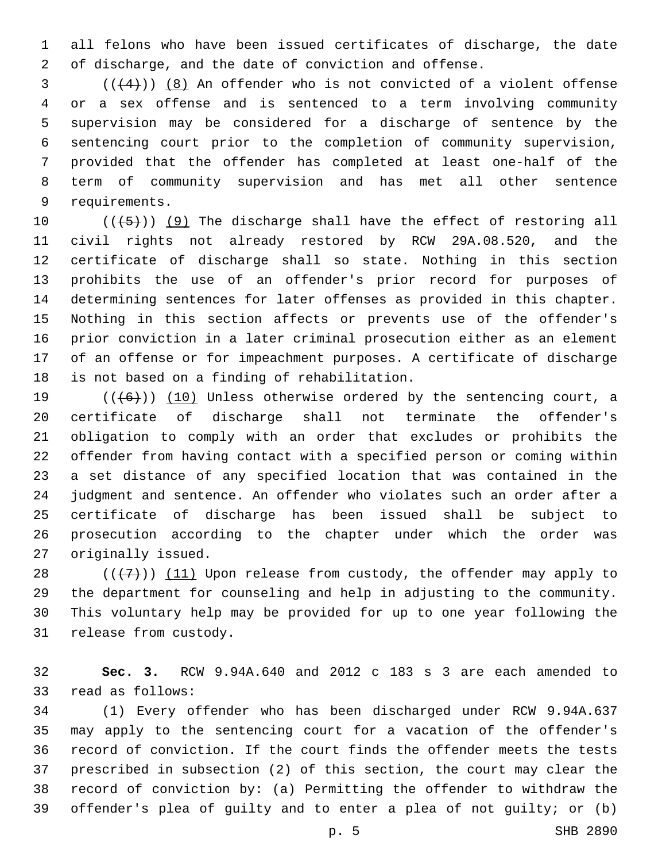all felons who have been issued certificates of discharge, the date of discharge, and the date of conviction and offense.

 ( $(4)$ ))  $(8)$  An offender who is not convicted of a violent offense or a sex offense and is sentenced to a term involving community supervision may be considered for a discharge of sentence by the sentencing court prior to the completion of community supervision, provided that the offender has completed at least one-half of the term of community supervision and has met all other sentence 9 requirements.

 $((+5+))$  (9) The discharge shall have the effect of restoring all civil rights not already restored by RCW 29A.08.520, and the certificate of discharge shall so state. Nothing in this section prohibits the use of an offender's prior record for purposes of determining sentences for later offenses as provided in this chapter. Nothing in this section affects or prevents use of the offender's prior conviction in a later criminal prosecution either as an element of an offense or for impeachment purposes. A certificate of discharge 18 is not based on a finding of rehabilitation.

 $((+6))$  (10) Unless otherwise ordered by the sentencing court, a certificate of discharge shall not terminate the offender's obligation to comply with an order that excludes or prohibits the offender from having contact with a specified person or coming within a set distance of any specified location that was contained in the judgment and sentence. An offender who violates such an order after a certificate of discharge has been issued shall be subject to prosecution according to the chapter under which the order was 27 originally issued.

 $((+7+))$  (11) Upon release from custody, the offender may apply to the department for counseling and help in adjusting to the community. This voluntary help may be provided for up to one year following the 31 release from custody.

 **Sec. 3.** RCW 9.94A.640 and 2012 c 183 s 3 are each amended to 33 read as follows:

 (1) Every offender who has been discharged under RCW 9.94A.637 may apply to the sentencing court for a vacation of the offender's record of conviction. If the court finds the offender meets the tests prescribed in subsection (2) of this section, the court may clear the record of conviction by: (a) Permitting the offender to withdraw the offender's plea of guilty and to enter a plea of not guilty; or (b)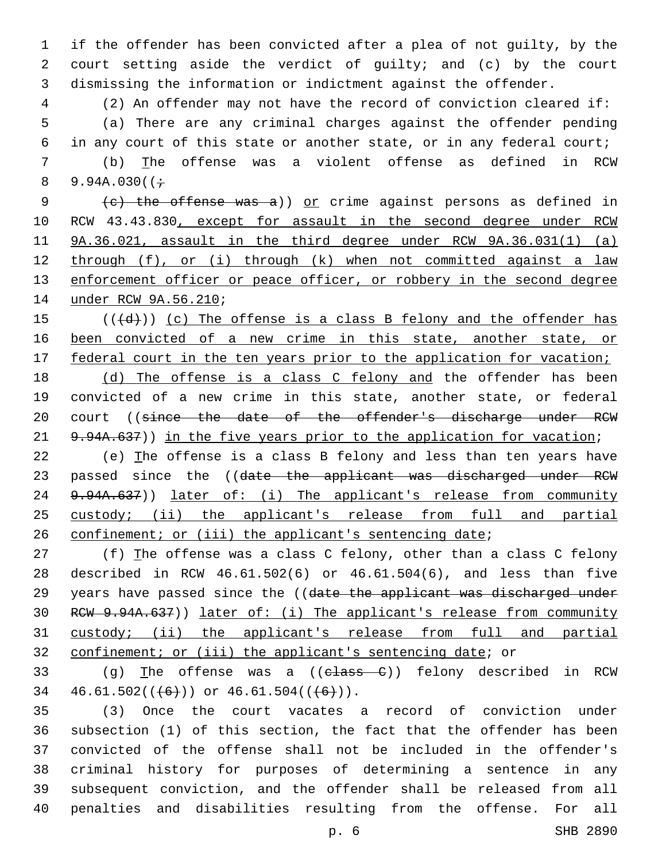if the offender has been convicted after a plea of not guilty, by the court setting aside the verdict of guilty; and (c) by the court dismissing the information or indictment against the offender.

 (2) An offender may not have the record of conviction cleared if: (a) There are any criminal charges against the offender pending in any court of this state or another state, or in any federal court;

 (b) The offense was a violent offense as defined in RCW 8 9.94A.030( $(+$ 

9 (e) the offense was a)) or crime against persons as defined in 10 RCW 43.43.830, except for assault in the second degree under RCW 9A.36.021, assault in the third degree under RCW 9A.36.031(1) (a) through (f), or (i) through (k) when not committed against a law 13 enforcement officer or peace officer, or robbery in the second degree 14 under RCW 9A.56.210;

 (( $\left(\frac{1}{d} \right)$ ) (c) The offense is a class B felony and the offender has been convicted of a new crime in this state, another state, or 17 federal court in the ten years prior to the application for vacation;

 (d) The offense is a class C felony and the offender has been convicted of a new crime in this state, another state, or federal 20 court ((since the date of the offender's discharge under RCW 21 9.94A.637)) in the five years prior to the application for vacation;

 (e) The offense is a class B felony and less than ten years have 23 passed since the ((date the applicant was discharged under RCW 24 9.94A.637)) later of: (i) The applicant's release from community 25 custody; (ii) the applicant's release from full and partial 26 confinement; or (iii) the applicant's sentencing date;

 (f) The offense was a class C felony, other than a class C felony described in RCW 46.61.502(6) or 46.61.504(6), and less than five 29 years have passed since the ((date the applicant was discharged under RCW 9.94A.637)) later of: (i) The applicant's release from community custody; (ii) the applicant's release from full and partial confinement; or (iii) the applicant's sentencing date; or

33 (q) The offense was a  $((e \text{lass } C))$  felony described in RCW  $46.61.502((\leftarrow)\)$  or  $46.61.504((\leftarrow)\)$ .

 (3) Once the court vacates a record of conviction under subsection (1) of this section, the fact that the offender has been convicted of the offense shall not be included in the offender's criminal history for purposes of determining a sentence in any subsequent conviction, and the offender shall be released from all penalties and disabilities resulting from the offense. For all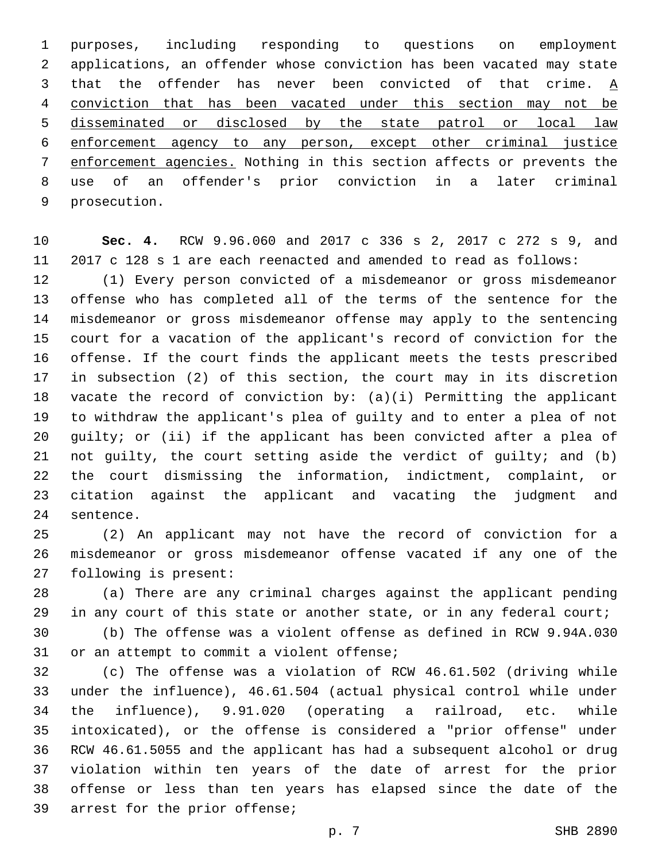purposes, including responding to questions on employment applications, an offender whose conviction has been vacated may state 3 that the offender has never been convicted of that crime.  $\underline{A}$  conviction that has been vacated under this section may not be disseminated or disclosed by the state patrol or local law enforcement agency to any person, except other criminal justice enforcement agencies. Nothing in this section affects or prevents the use of an offender's prior conviction in a later criminal 9 prosecution.

 **Sec. 4.** RCW 9.96.060 and 2017 c 336 s 2, 2017 c 272 s 9, and 2017 c 128 s 1 are each reenacted and amended to read as follows:

 (1) Every person convicted of a misdemeanor or gross misdemeanor offense who has completed all of the terms of the sentence for the misdemeanor or gross misdemeanor offense may apply to the sentencing court for a vacation of the applicant's record of conviction for the offense. If the court finds the applicant meets the tests prescribed in subsection (2) of this section, the court may in its discretion vacate the record of conviction by: (a)(i) Permitting the applicant to withdraw the applicant's plea of guilty and to enter a plea of not guilty; or (ii) if the applicant has been convicted after a plea of not guilty, the court setting aside the verdict of guilty; and (b) the court dismissing the information, indictment, complaint, or citation against the applicant and vacating the judgment and 24 sentence.

 (2) An applicant may not have the record of conviction for a misdemeanor or gross misdemeanor offense vacated if any one of the 27 following is present:

 (a) There are any criminal charges against the applicant pending 29 in any court of this state or another state, or in any federal court;

 (b) The offense was a violent offense as defined in RCW 9.94A.030 31 or an attempt to commit a violent offense;

 (c) The offense was a violation of RCW 46.61.502 (driving while under the influence), 46.61.504 (actual physical control while under the influence), 9.91.020 (operating a railroad, etc. while intoxicated), or the offense is considered a "prior offense" under RCW 46.61.5055 and the applicant has had a subsequent alcohol or drug violation within ten years of the date of arrest for the prior offense or less than ten years has elapsed since the date of the 39 arrest for the prior offense;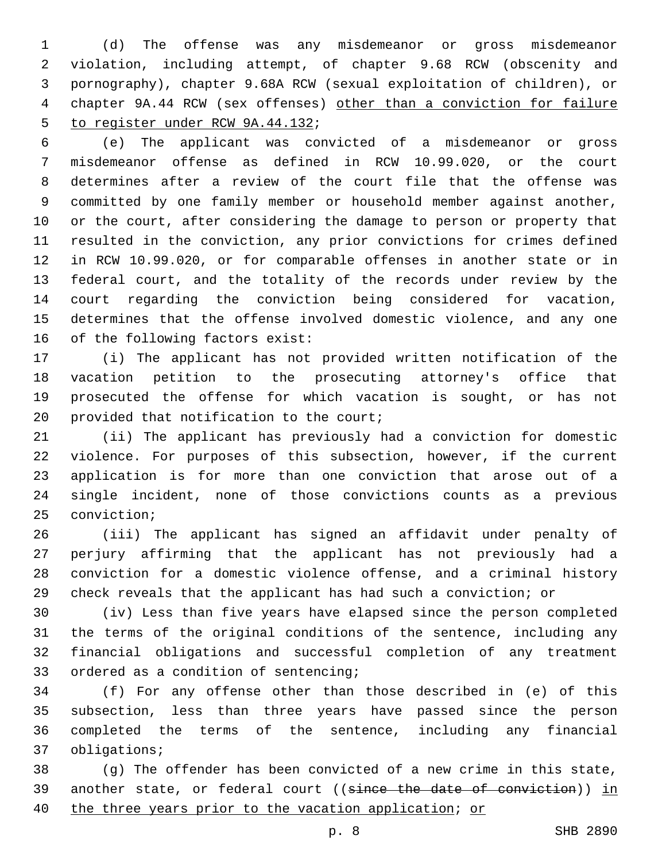(d) The offense was any misdemeanor or gross misdemeanor violation, including attempt, of chapter 9.68 RCW (obscenity and pornography), chapter 9.68A RCW (sexual exploitation of children), or chapter 9A.44 RCW (sex offenses) other than a conviction for failure 5 to register under RCW 9A.44.132;

 (e) The applicant was convicted of a misdemeanor or gross misdemeanor offense as defined in RCW 10.99.020, or the court determines after a review of the court file that the offense was committed by one family member or household member against another, or the court, after considering the damage to person or property that resulted in the conviction, any prior convictions for crimes defined in RCW 10.99.020, or for comparable offenses in another state or in federal court, and the totality of the records under review by the court regarding the conviction being considered for vacation, determines that the offense involved domestic violence, and any one of the following factors exist:

 (i) The applicant has not provided written notification of the vacation petition to the prosecuting attorney's office that prosecuted the offense for which vacation is sought, or has not 20 provided that notification to the court;

 (ii) The applicant has previously had a conviction for domestic violence. For purposes of this subsection, however, if the current application is for more than one conviction that arose out of a single incident, none of those convictions counts as a previous 25 conviction;

 (iii) The applicant has signed an affidavit under penalty of perjury affirming that the applicant has not previously had a conviction for a domestic violence offense, and a criminal history check reveals that the applicant has had such a conviction; or

 (iv) Less than five years have elapsed since the person completed the terms of the original conditions of the sentence, including any financial obligations and successful completion of any treatment 33 ordered as a condition of sentencing;

 (f) For any offense other than those described in (e) of this subsection, less than three years have passed since the person completed the terms of the sentence, including any financial 37 obligations;

 (g) The offender has been convicted of a new crime in this state, 39 another state, or federal court ((since the date of conviction)) in the three years prior to the vacation application; or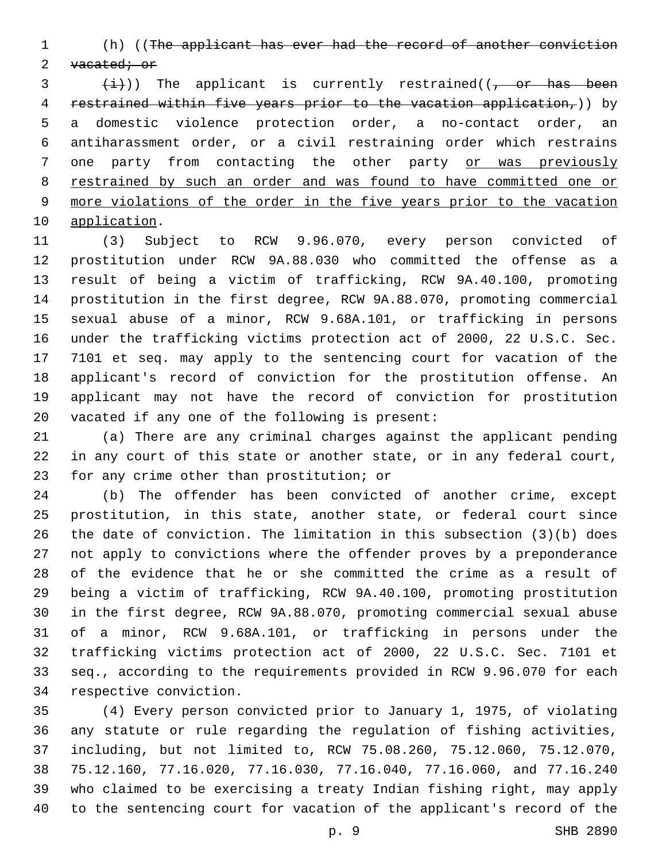(h) ((The applicant has ever had the record of another conviction 2 vacated; or

 $\frac{1}{1}$ )) The applicant is currently restrained((, or has been restrained within five years prior to the vacation application,)) by a domestic violence protection order, a no-contact order, an antiharassment order, or a civil restraining order which restrains one party from contacting the other party or was previously restrained by such an order and was found to have committed one or more violations of the order in the five years prior to the vacation 10 application.

 (3) Subject to RCW 9.96.070, every person convicted of prostitution under RCW 9A.88.030 who committed the offense as a result of being a victim of trafficking, RCW 9A.40.100, promoting prostitution in the first degree, RCW 9A.88.070, promoting commercial sexual abuse of a minor, RCW 9.68A.101, or trafficking in persons under the trafficking victims protection act of 2000, 22 U.S.C. Sec. 7101 et seq. may apply to the sentencing court for vacation of the applicant's record of conviction for the prostitution offense. An applicant may not have the record of conviction for prostitution 20 vacated if any one of the following is present:

 (a) There are any criminal charges against the applicant pending in any court of this state or another state, or in any federal court, 23 for any crime other than prostitution; or

 (b) The offender has been convicted of another crime, except prostitution, in this state, another state, or federal court since the date of conviction. The limitation in this subsection (3)(b) does not apply to convictions where the offender proves by a preponderance of the evidence that he or she committed the crime as a result of being a victim of trafficking, RCW 9A.40.100, promoting prostitution in the first degree, RCW 9A.88.070, promoting commercial sexual abuse of a minor, RCW 9.68A.101, or trafficking in persons under the trafficking victims protection act of 2000, 22 U.S.C. Sec. 7101 et seq., according to the requirements provided in RCW 9.96.070 for each 34 respective conviction.

 (4) Every person convicted prior to January 1, 1975, of violating any statute or rule regarding the regulation of fishing activities, including, but not limited to, RCW 75.08.260, 75.12.060, 75.12.070, 75.12.160, 77.16.020, 77.16.030, 77.16.040, 77.16.060, and 77.16.240 who claimed to be exercising a treaty Indian fishing right, may apply to the sentencing court for vacation of the applicant's record of the

p. 9 SHB 2890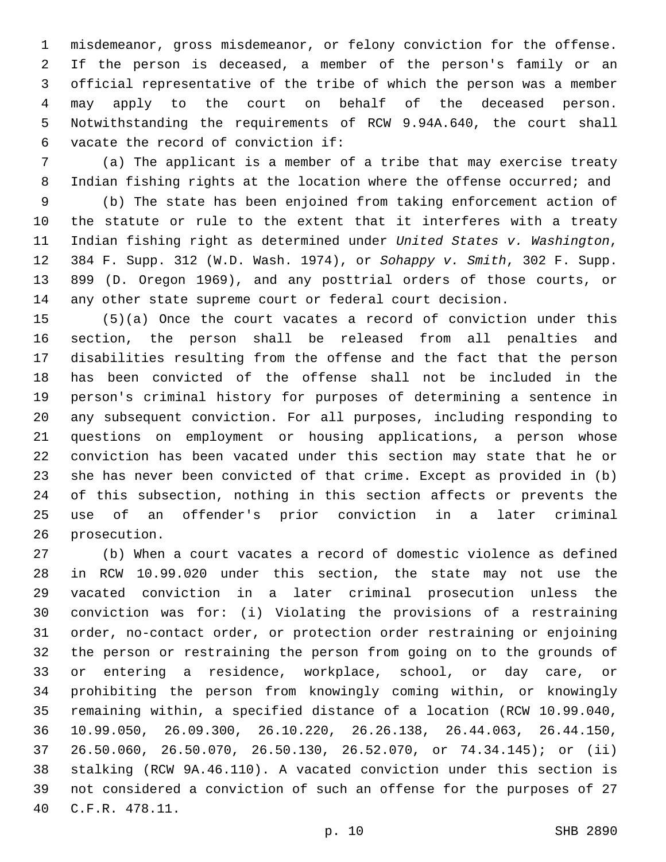misdemeanor, gross misdemeanor, or felony conviction for the offense. If the person is deceased, a member of the person's family or an official representative of the tribe of which the person was a member may apply to the court on behalf of the deceased person. Notwithstanding the requirements of RCW 9.94A.640, the court shall 6 vacate the record of conviction if:

 (a) The applicant is a member of a tribe that may exercise treaty 8 Indian fishing rights at the location where the offense occurred; and

 (b) The state has been enjoined from taking enforcement action of the statute or rule to the extent that it interferes with a treaty Indian fishing right as determined under *United States v. Washington*, 384 F. Supp. 312 (W.D. Wash. 1974), or *Sohappy v. Smith*, 302 F. Supp. 899 (D. Oregon 1969), and any posttrial orders of those courts, or any other state supreme court or federal court decision.

 (5)(a) Once the court vacates a record of conviction under this section, the person shall be released from all penalties and disabilities resulting from the offense and the fact that the person has been convicted of the offense shall not be included in the person's criminal history for purposes of determining a sentence in any subsequent conviction. For all purposes, including responding to questions on employment or housing applications, a person whose conviction has been vacated under this section may state that he or she has never been convicted of that crime. Except as provided in (b) of this subsection, nothing in this section affects or prevents the use of an offender's prior conviction in a later criminal 26 prosecution.

 (b) When a court vacates a record of domestic violence as defined in RCW 10.99.020 under this section, the state may not use the vacated conviction in a later criminal prosecution unless the conviction was for: (i) Violating the provisions of a restraining order, no-contact order, or protection order restraining or enjoining the person or restraining the person from going on to the grounds of or entering a residence, workplace, school, or day care, or prohibiting the person from knowingly coming within, or knowingly remaining within, a specified distance of a location (RCW 10.99.040, 10.99.050, 26.09.300, 26.10.220, 26.26.138, 26.44.063, 26.44.150, 26.50.060, 26.50.070, 26.50.130, 26.52.070, or 74.34.145); or (ii) stalking (RCW 9A.46.110). A vacated conviction under this section is not considered a conviction of such an offense for the purposes of 27 C.F.R. 478.11.40